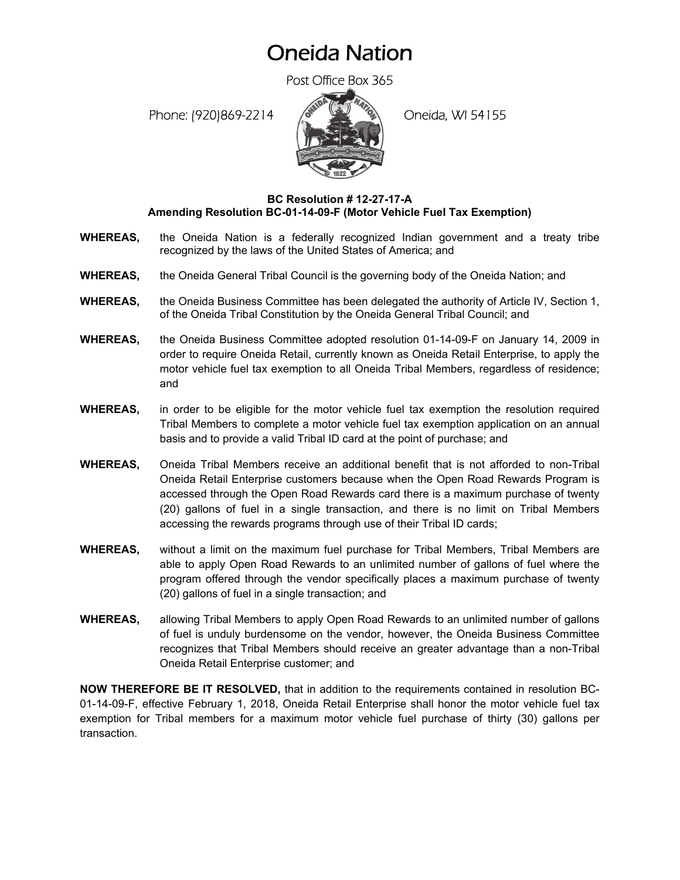## Oneida Nation

Post Office Box 365

Phone: (920)869-2214 (Oneida, WI 54155



## **BC Resolution # 12-27-17-A Amending Resolution BC-01-14-09-F (Motor Vehicle Fuel Tax Exemption)**

- **WHEREAS,** the Oneida Nation is a federally recognized Indian government and a treaty tribe recognized by the laws of the United States of America; and
- **WHEREAS,** the Oneida General Tribal Council is the governing body of the Oneida Nation; and
- **WHEREAS,** the Oneida Business Committee has been delegated the authority of Article IV, Section 1, of the Oneida Tribal Constitution by the Oneida General Tribal Council; and
- **WHEREAS,** the Oneida Business Committee adopted resolution 01-14-09-F on January 14, 2009 in order to require Oneida Retail, currently known as Oneida Retail Enterprise, to apply the motor vehicle fuel tax exemption to all Oneida Tribal Members, regardless of residence; and
- **WHEREAS,** in order to be eligible for the motor vehicle fuel tax exemption the resolution required Tribal Members to complete a motor vehicle fuel tax exemption application on an annual basis and to provide a valid Tribal ID card at the point of purchase; and
- **WHEREAS,** Oneida Tribal Members receive an additional benefit that is not afforded to non-Tribal Oneida Retail Enterprise customers because when the Open Road Rewards Program is accessed through the Open Road Rewards card there is a maximum purchase of twenty (20) gallons of fuel in a single transaction, and there is no limit on Tribal Members accessing the rewards programs through use of their Tribal ID cards;
- **WHEREAS,** without a limit on the maximum fuel purchase for Tribal Members, Tribal Members are able to apply Open Road Rewards to an unlimited number of gallons of fuel where the program offered through the vendor specifically places a maximum purchase of twenty (20) gallons of fuel in a single transaction; and
- **WHEREAS,** allowing Tribal Members to apply Open Road Rewards to an unlimited number of gallons of fuel is unduly burdensome on the vendor, however, the Oneida Business Committee recognizes that Tribal Members should receive an greater advantage than a non-Tribal Oneida Retail Enterprise customer; and

**NOW THEREFORE BE IT RESOLVED,** that in addition to the requirements contained in resolution BC-01-14-09-F, effective February 1, 2018, Oneida Retail Enterprise shall honor the motor vehicle fuel tax exemption for Tribal members for a maximum motor vehicle fuel purchase of thirty (30) gallons per transaction.